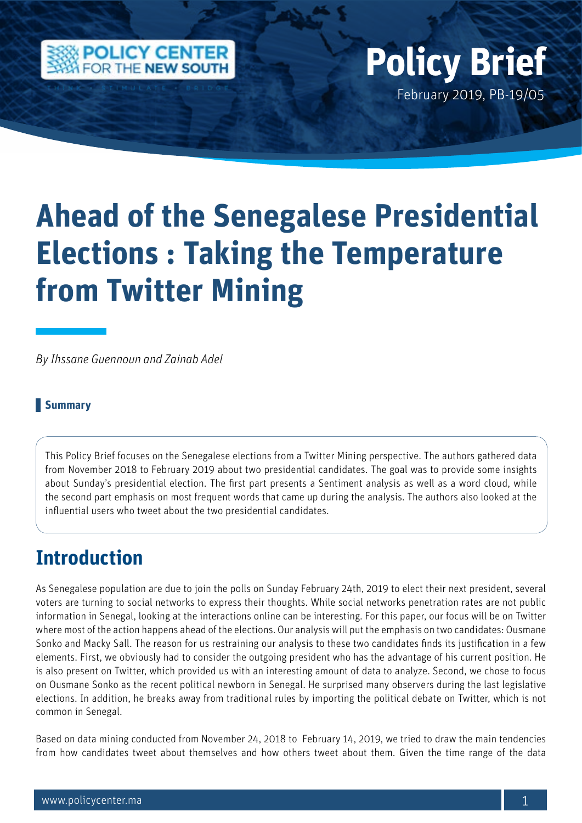

## February 2019, PB-19/05 **Policy Brief**

# **Ahead of the Senegalese Presidential Elections : Taking the Temperature from Twitter Mining**

*By Ihssane Guennoun and Zainab Adel*

#### **Summary**

This Policy Brief focuses on the Senegalese elections from a Twitter Mining perspective. The authors gathered data from November 2018 to February 2019 about two presidential candidates. The goal was to provide some insights about Sunday's presidential election. The first part presents a Sentiment analysis as well as a word cloud, while the second part emphasis on most frequent words that came up during the analysis. The authors also looked at the influential users who tweet about the two presidential candidates.

### **Introduction**

As Senegalese population are due to join the polls on Sunday February 24th, 2019 to elect their next president, several voters are turning to social networks to express their thoughts. While social networks penetration rates are not public information in Senegal, looking at the interactions online can be interesting. For this paper, our focus will be on Twitter where most of the action happens ahead of the elections. Our analysis will put the emphasis on two candidates: Ousmane Sonko and Macky Sall. The reason for us restraining our analysis to these two candidates finds its justification in a few elements. First, we obviously had to consider the outgoing president who has the advantage of his current position. He is also present on Twitter, which provided us with an interesting amount of data to analyze. Second, we chose to focus on Ousmane Sonko as the recent political newborn in Senegal. He surprised many observers during the last legislative elections. In addition, he breaks away from traditional rules by importing the political debate on Twitter, which is not common in Senegal.

Based on data mining conducted from November 24, 2018 to February 14, 2019, we tried to draw the main tendencies from how candidates tweet about themselves and how others tweet about them. Given the time range of the data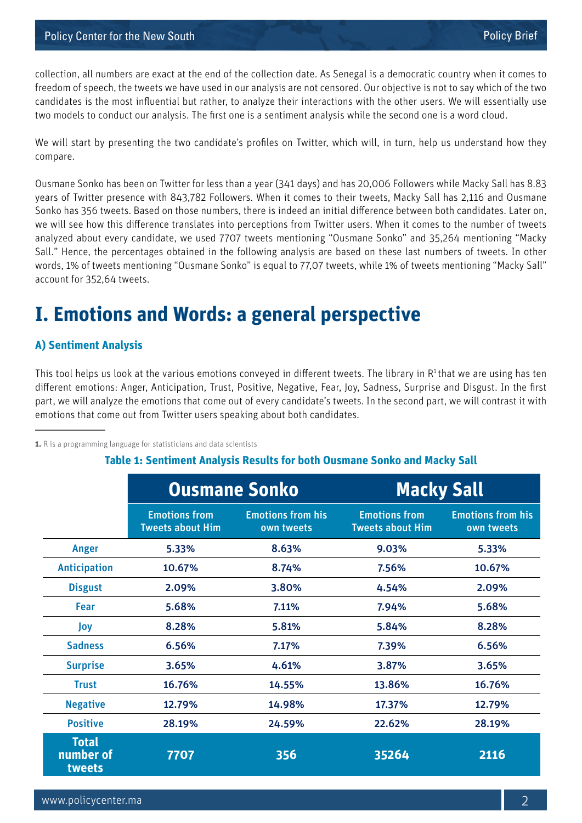collection, all numbers are exact at the end of the collection date. As Senegal is a democratic country when it comes to freedom of speech, the tweets we have used in our analysis are not censored. Our objective is not to say which of the two candidates is the most influential but rather, to analyze their interactions with the other users. We will essentially use two models to conduct our analysis. The first one is a sentiment analysis while the second one is a word cloud.

We will start by presenting the two candidate's profiles on Twitter, which will, in turn, help us understand how they compare.

Ousmane Sonko has been on Twitter for less than a year (341 days) and has 20,006 Followers while Macky Sall has 8.83 years of Twitter presence with 843,782 Followers. When it comes to their tweets, Macky Sall has 2,116 and Ousmane Sonko has 356 tweets. Based on those numbers, there is indeed an initial difference between both candidates. Later on, we will see how this difference translates into perceptions from Twitter users. When it comes to the number of tweets analyzed about every candidate, we used 7707 tweets mentioning "Ousmane Sonko" and 35,264 mentioning "Macky Sall." Hence, the percentages obtained in the following analysis are based on these last numbers of tweets. In other words, 1% of tweets mentioning "Ousmane Sonko" is equal to 77,07 tweets, while 1% of tweets mentioning "Macky Sall" account for 352,64 tweets.

### **I. Emotions and Words: a general perspective**

#### **A) Sentiment Analysis**

This tool helps us look at the various emotions conveyed in different tweets. The library in  $R<sup>1</sup>$  that we are using has ten different emotions: Anger, Anticipation, Trust, Positive, Negative, Fear, Joy, Sadness, Surprise and Disgust. In the first part, we will analyze the emotions that come out of every candidate's tweets. In the second part, we will contrast it with emotions that come out from Twitter users speaking about both candidates.

**1.** R is a programming language for statisticians and data scientists

|                                     | <b>Ousmane Sonko</b>                            |                                        | <b>Macky Sall</b>                               |                                        |  |
|-------------------------------------|-------------------------------------------------|----------------------------------------|-------------------------------------------------|----------------------------------------|--|
|                                     | <b>Emotions from</b><br><b>Tweets about Him</b> | <b>Emotions from his</b><br>own tweets | <b>Emotions from</b><br><b>Tweets about Him</b> | <b>Emotions from his</b><br>own tweets |  |
| Anger                               | 5.33%                                           | 8.63%                                  | 9.03%                                           | 5.33%                                  |  |
| <b>Anticipation</b>                 | 10.67%                                          | 8.74%                                  | 7.56%                                           | 10.67%                                 |  |
| <b>Disgust</b>                      | 2.09%                                           | 3.80%                                  | 4.54%                                           | 2.09%                                  |  |
| Fear                                | 5.68%                                           | 7.11%                                  | 7.94%                                           | 5.68%                                  |  |
| Joy                                 | 8.28%                                           | 5.81%                                  | 5.84%                                           | 8.28%                                  |  |
| <b>Sadness</b>                      | 6.56%                                           | 7.17%                                  | 7.39%                                           | 6.56%                                  |  |
| <b>Surprise</b>                     | 3.65%                                           | 4.61%                                  | 3.87%                                           | 3.65%                                  |  |
| <b>Trust</b>                        | 16.76%                                          | 14.55%                                 | 13.86%                                          | 16.76%                                 |  |
| <b>Negative</b>                     | 12.79%                                          | 14.98%                                 | 17.37%                                          | 12.79%                                 |  |
| <b>Positive</b>                     | 28.19%                                          | 24.59%                                 | 22.62%                                          | 28.19%                                 |  |
| <b>Total</b><br>number of<br>tweets | 7707                                            | 356                                    | 35264                                           | 2116                                   |  |

#### **Table 1: Sentiment Analysis Results for both Ousmane Sonko and Macky Sall**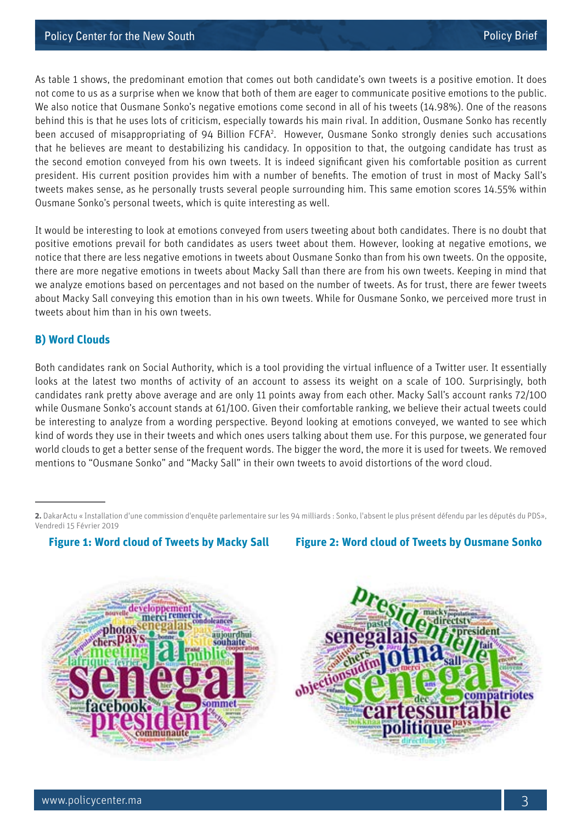As table 1 shows, the predominant emotion that comes out both candidate's own tweets is a positive emotion. It does not come to us as a surprise when we know that both of them are eager to communicate positive emotions to the public. We also notice that Ousmane Sonko's negative emotions come second in all of his tweets (14.98%). One of the reasons behind this is that he uses lots of criticism, especially towards his main rival. In addition, Ousmane Sonko has recently been accused of misappropriating of 94 Billion FCFA<sup>2</sup>. However, Ousmane Sonko strongly denies such accusations that he believes are meant to destabilizing his candidacy. In opposition to that, the outgoing candidate has trust as the second emotion conveyed from his own tweets. It is indeed significant given his comfortable position as current president. His current position provides him with a number of benefits. The emotion of trust in most of Macky Sall's tweets makes sense, as he personally trusts several people surrounding him. This same emotion scores 14.55% within Ousmane Sonko's personal tweets, which is quite interesting as well.

It would be interesting to look at emotions conveyed from users tweeting about both candidates. There is no doubt that positive emotions prevail for both candidates as users tweet about them. However, looking at negative emotions, we notice that there are less negative emotions in tweets about Ousmane Sonko than from his own tweets. On the opposite, there are more negative emotions in tweets about Macky Sall than there are from his own tweets. Keeping in mind that we analyze emotions based on percentages and not based on the number of tweets. As for trust, there are fewer tweets about Macky Sall conveying this emotion than in his own tweets. While for Ousmane Sonko, we perceived more trust in tweets about him than in his own tweets.

#### **B) Word Clouds**

Both candidates rank on Social Authority, which is a tool providing the virtual influence of a Twitter user. It essentially looks at the latest two months of activity of an account to assess its weight on a scale of 100. Surprisingly, both candidates rank pretty above average and are only 11 points away from each other. Macky Sall's account ranks 72/100 while Ousmane Sonko's account stands at 61/100. Given their comfortable ranking, we believe their actual tweets could be interesting to analyze from a wording perspective. Beyond looking at emotions conveyed, we wanted to see which kind of words they use in their tweets and which ones users talking about them use. For this purpose, we generated four world clouds to get a better sense of the frequent words. The bigger the word, the more it is used for tweets. We removed mentions to "Ousmane Sonko" and "Macky Sall" in their own tweets to avoid distortions of the word cloud.

**Figure 1: Word cloud of Tweets by Macky Sall Figure 2: Word cloud of Tweets by Ousmane Sonko**





**<sup>2.</sup>** DakarActu « Installation d'une commission d'enquête parlementaire sur les 94 milliards : Sonko, l'absent le plus présent défendu par les députés du PDS», Vendredi 15 Février 2019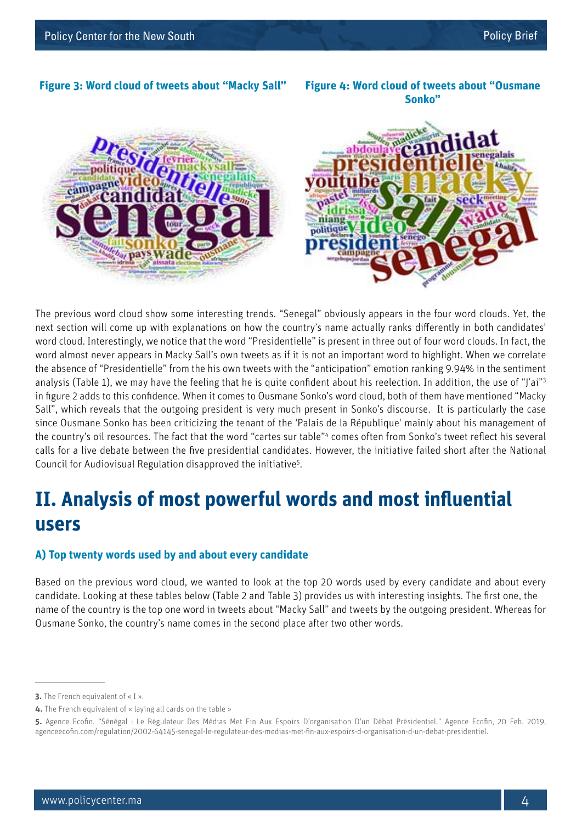#### **Figure 3: Word cloud of tweets about "Macky Sall" Figure 4: Word cloud of tweets about "Ousmane**

**Sonko"**



The previous word cloud show some interesting trends. "Senegal" obviously appears in the four word clouds. Yet, the next section will come up with explanations on how the country's name actually ranks differently in both candidates' word cloud. Interestingly, we notice that the word "Presidentielle" is present in three out of four word clouds. In fact, the word almost never appears in Macky Sall's own tweets as if it is not an important word to highlight. When we correlate the absence of "Presidentielle" from the his own tweets with the "anticipation" emotion ranking 9.94% in the sentiment analysis (Table 1), we may have the feeling that he is quite confident about his reelection. In addition, the use of "J'ai"3 in figure 2 adds to this confidence. When it comes to Ousmane Sonko's word cloud, both of them have mentioned "Macky Sall", which reveals that the outgoing president is very much present in Sonko's discourse. It is particularly the case since Ousmane Sonko has been criticizing the tenant of the 'Palais de la République' mainly about his management of the country's oil resources. The fact that the word "cartes sur table"<sup>4</sup> comes often from Sonko's tweet reflect his several calls for a live debate between the five presidential candidates. However, the initiative failed short after the National Council for Audiovisual Regulation disapproved the initiative<sup>5</sup>.

### **II. Analysis of most powerful words and most influential users**

#### **A) Top twenty words used by and about every candidate**

Based on the previous word cloud, we wanted to look at the top 20 words used by every candidate and about every candidate. Looking at these tables below (Table 2 and Table 3) provides us with interesting insights. The first one, the name of the country is the top one word in tweets about "Macky Sall" and tweets by the outgoing president. Whereas for Ousmane Sonko, the country's name comes in the second place after two other words.

**<sup>3.</sup>** The French equivalent of « I ».

**<sup>4.</sup>** The French equivalent of « laying all cards on the table »

**<sup>5.</sup>** Agence Ecofin. "Sénégal : Le Régulateur Des Médias Met Fin Aux Espoirs D'organisation D'un Débat Présidentiel." Agence Ecofin, 20 Feb. 2019, agenceecofin.com/regulation/2002-64145-senegal-le-regulateur-des-medias-met-fin-aux-espoirs-d-organisation-d-un-debat-presidentiel.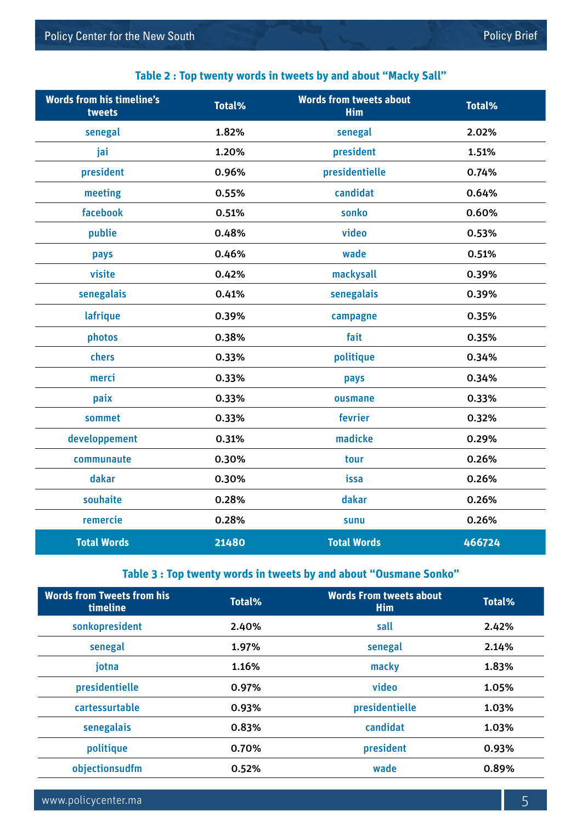### **Words from his timeline's tweets Total% Words from tweets about Him Total%** senegal 1.82% senegal 2.02% jai 1.20% president 1.51% president 0.96% presidentielle 0.74% meeting 1.55% candidat 1.64% facebook 0.51% sonko 0.60% publie 0.48% video 0.53% pays 0.46% wade 0.51% visite 0.42% mackysall 0.39% senegalais 6.41% senegalais 6.39% lafrique 0.39% campagne 0.35% photos 0.38% fait 0.35% chers 0.33% politique 0.34% merci 0.33% pays 0.34% paix **ousmane** contract the contract of the contract of the contract of the contract of the contract of the contra sommet 0.33% fevrier 0.32% developpement 0.31% madicke 0.29% communaute 0.30% tour 0.26% dakar 0.30% issa 0.26% souhaite 0.28% dakar 0.26% remercie 0.28% sunu 0.26% **Total Words 21480 Total Words 466724**

#### **Table 2 : Top twenty words in tweets by and about "Macky Sall"**

#### **Table 3 : Top twenty words in tweets by and about "Ousmane Sonko"**

| <b>Words from Tweets from his</b><br>timeline | Total% | <b>Words From tweets about</b><br>Him | <b>Total%</b> |
|-----------------------------------------------|--------|---------------------------------------|---------------|
| sonkopresident                                | 2.40%  | sall                                  | 2.42%         |
| senegal                                       | 1.97%  | senegal                               | 2.14%         |
| jotna                                         | 1.16%  | macky                                 | 1.83%         |
| presidentielle                                | 0.97%  | video                                 | 1.05%         |
| cartessurtable                                | 0.93%  | presidentielle                        | 1.03%         |
| senegalais                                    | 0.83%  | candidat                              | 1.03%         |
| politique                                     | 0.70%  | president                             | 0.93%         |
| objectionsudfm                                | 0.52%  | wade                                  | 0.89%         |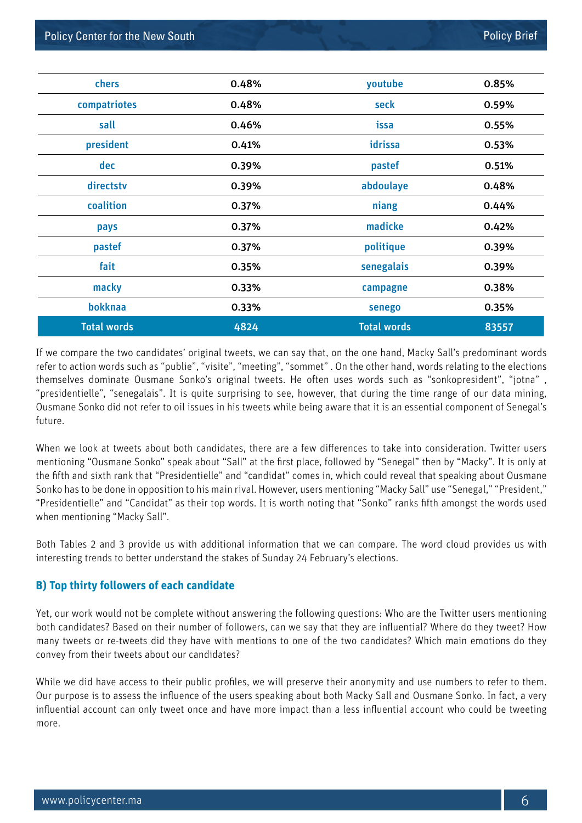| chers              | 0.48% | youtube            | 0.85% |
|--------------------|-------|--------------------|-------|
| compatriotes       | 0.48% | seck               | 0.59% |
| sall               | 0.46% | issa               | 0.55% |
| president          | 0.41% | idrissa            | 0.53% |
| dec                | 0.39% | pastef             | 0.51% |
| directstv          | 0.39% | abdoulaye          | 0.48% |
| coalition          | 0.37% | niang              | 0.44% |
| pays               | 0.37% | madicke            | 0.42% |
| pastef             | 0.37% | politique          | 0.39% |
| fait               | 0.35% | senegalais         | 0.39% |
| macky              | 0.33% | campagne           | 0.38% |
| bokknaa            | 0.33% | senego             | 0.35% |
| <b>Total words</b> | 4824  | <b>Total words</b> | 83557 |

If we compare the two candidates' original tweets, we can say that, on the one hand, Macky Sall's predominant words refer to action words such as "publie", "visite", "meeting", "sommet" . On the other hand, words relating to the elections themselves dominate Ousmane Sonko's original tweets. He often uses words such as "sonkopresident", "jotna" , "presidentielle", "senegalais". It is quite surprising to see, however, that during the time range of our data mining, Ousmane Sonko did not refer to oil issues in his tweets while being aware that it is an essential component of Senegal's future.

When we look at tweets about both candidates, there are a few differences to take into consideration. Twitter users mentioning "Ousmane Sonko" speak about "Sall" at the first place, followed by "Senegal" then by "Macky". It is only at the fifth and sixth rank that "Presidentielle" and "candidat" comes in, which could reveal that speaking about Ousmane Sonko has to be done in opposition to his main rival. However, users mentioning "Macky Sall" use "Senegal," "President," "Presidentielle" and "Candidat" as their top words. It is worth noting that "Sonko" ranks fifth amongst the words used when mentioning "Macky Sall".

Both Tables 2 and 3 provide us with additional information that we can compare. The word cloud provides us with interesting trends to better understand the stakes of Sunday 24 February's elections.

#### **B) Top thirty followers of each candidate**

Yet, our work would not be complete without answering the following questions: Who are the Twitter users mentioning both candidates? Based on their number of followers, can we say that they are influential? Where do they tweet? How many tweets or re-tweets did they have with mentions to one of the two candidates? Which main emotions do they convey from their tweets about our candidates?

While we did have access to their public profiles, we will preserve their anonymity and use numbers to refer to them. Our purpose is to assess the influence of the users speaking about both Macky Sall and Ousmane Sonko. In fact, a very influential account can only tweet once and have more impact than a less influential account who could be tweeting more.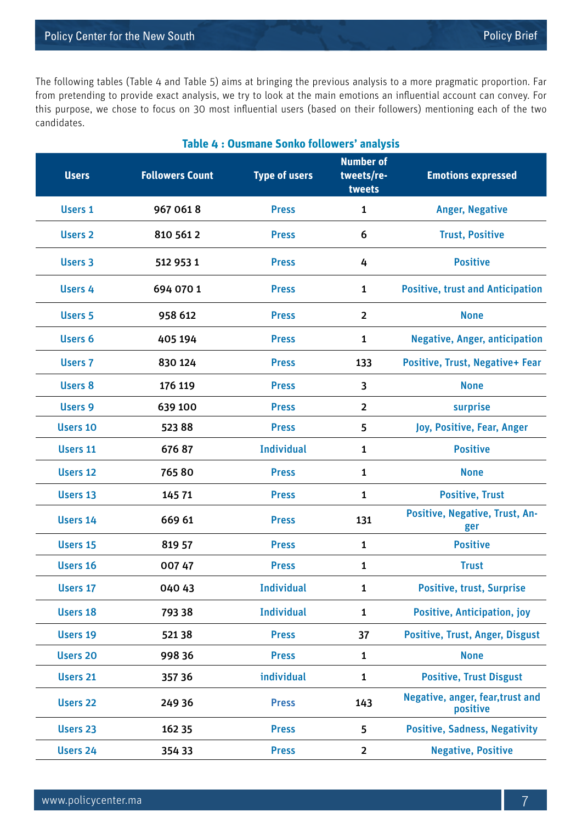The following tables (Table 4 and Table 5) aims at bringing the previous analysis to a more pragmatic proportion. Far from pretending to provide exact analysis, we try to look at the main emotions an influential account can convey. For this purpose, we chose to focus on 30 most influential users (based on their followers) mentioning each of the two candidates.

| Table 4 : Ousmane Sonko followers' analysis |                        |                      |                                          |                                              |
|---------------------------------------------|------------------------|----------------------|------------------------------------------|----------------------------------------------|
| <b>Users</b>                                | <b>Followers Count</b> | <b>Type of users</b> | <b>Number of</b><br>tweets/re-<br>tweets | <b>Emotions expressed</b>                    |
| <b>Users 1</b>                              | 967 0618               | <b>Press</b>         | $\mathbf{1}$                             | <b>Anger, Negative</b>                       |
| <b>Users 2</b>                              | 810 561 2              | <b>Press</b>         | 6                                        | <b>Trust, Positive</b>                       |
| Users 3                                     | 512 953 1              | <b>Press</b>         | 4                                        | <b>Positive</b>                              |
| Users 4                                     | 694 070 1              | <b>Press</b>         | $\mathbf{1}$                             | <b>Positive, trust and Anticipation</b>      |
| <b>Users 5</b>                              | 958 612                | <b>Press</b>         | $\overline{2}$                           | <b>None</b>                                  |
| <b>Users 6</b>                              | 405 194                | <b>Press</b>         | $\mathbf{1}$                             | <b>Negative, Anger, anticipation</b>         |
| <b>Users 7</b>                              | 830 124                | <b>Press</b>         | 133                                      | Positive, Trust, Negative+ Fear              |
| <b>Users 8</b>                              | 176 119                | <b>Press</b>         | 3                                        | <b>None</b>                                  |
| <b>Users 9</b>                              | 639 100                | <b>Press</b>         | $\overline{2}$                           | surprise                                     |
| <b>Users 10</b>                             | 52388                  | <b>Press</b>         | 5                                        | Joy, Positive, Fear, Anger                   |
| Users 11                                    | 67687                  | <b>Individual</b>    | $\mathbf{1}$                             | <b>Positive</b>                              |
| <b>Users 12</b>                             | 76580                  | <b>Press</b>         | $\mathbf{1}$                             | <b>None</b>                                  |
| <b>Users 13</b>                             | 145 71                 | <b>Press</b>         | $\mathbf{1}$                             | <b>Positive, Trust</b>                       |
| Users 14                                    | 669 61                 | <b>Press</b>         | 131                                      | Positive, Negative, Trust, An-<br>ger        |
| <b>Users 15</b>                             | 819 57                 | <b>Press</b>         | $\mathbf{1}$                             | <b>Positive</b>                              |
| Users 16                                    | 007 47                 | <b>Press</b>         | 1                                        | <b>Trust</b>                                 |
| Users 17                                    | 040 43                 | <b>Individual</b>    | $\mathbf{1}$                             | <b>Positive, trust, Surprise</b>             |
| <b>Users 18</b>                             | 793 38                 | <b>Individual</b>    | $\mathbf{1}$                             | <b>Positive, Anticipation, joy</b>           |
| <b>Users 19</b>                             | 521 38                 | <b>Press</b>         | 37                                       | Positive, Trust, Anger, Disgust              |
| <b>Users 20</b>                             | 99836                  | <b>Press</b>         | $\mathbf{1}$                             | <b>None</b>                                  |
| <b>Users 21</b>                             | 357 36                 | individual           | $\mathbf{1}$                             | <b>Positive, Trust Disgust</b>               |
| <b>Users 22</b>                             | 249 36                 | <b>Press</b>         | 143                                      | Negative, anger, fear, trust and<br>positive |
| Users 23                                    | 162 35                 | <b>Press</b>         | 5                                        | <b>Positive, Sadness, Negativity</b>         |
| <b>Users 24</b>                             | 354 33                 | <b>Press</b>         | $\overline{2}$                           | <b>Negative, Positive</b>                    |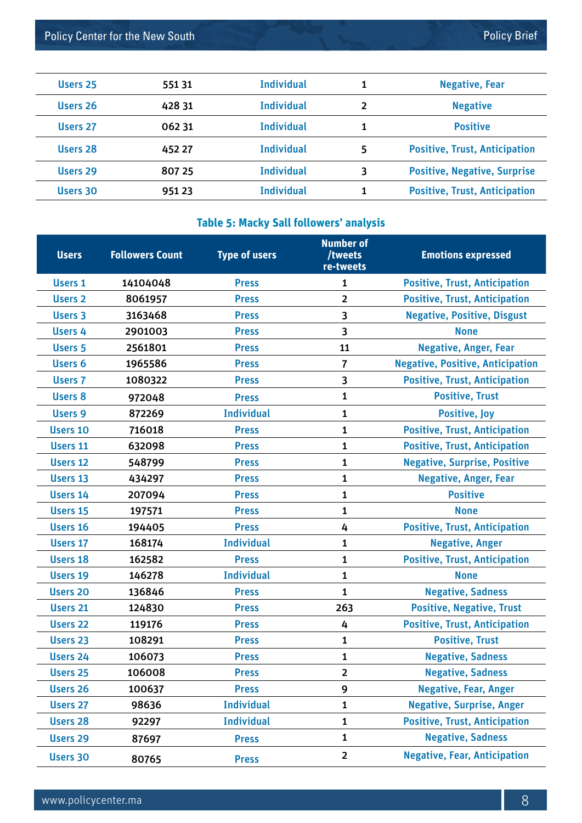| Users 28 | 452 27 | <b>Individual</b> | 5  | <b>Positive, Trust, Anticipation</b> |
|----------|--------|-------------------|----|--------------------------------------|
| Users 29 | 807 25 | <b>Individual</b> | ₹  | <b>Positive, Negative, Surprise</b>  |
| Users 30 | 951 23 | <b>Individual</b> | 1. | <b>Positive, Trust, Anticipation</b> |

Users 25 551 31 1 1 1 1 1 1 1 1 1 1 1 Negative, Fear

Users 26 **428 31** Individual **2 11** Negative

Users 27 062 31 Individual 1 1 Positive

#### **Table 5: Macky Sall followers' analysis**

| <b>Users</b>        | <b>Followers Count</b> | <b>Type of users</b> | <b>Number of</b><br>/tweets<br>re-tweets | <b>Emotions expressed</b>               |
|---------------------|------------------------|----------------------|------------------------------------------|-----------------------------------------|
| <b>Users 1</b>      | 14104048               | <b>Press</b>         | 1                                        | <b>Positive, Trust, Anticipation</b>    |
| <b>Users 2</b>      | 8061957                | <b>Press</b>         | $\overline{2}$                           | <b>Positive, Trust, Anticipation</b>    |
| <b>Users 3</b>      | 3163468                | <b>Press</b>         | 3                                        | <b>Negative, Positive, Disgust</b>      |
| Users 4             | 2901003                | <b>Press</b>         | 3                                        | <b>None</b>                             |
| <b>Users 5</b>      | 2561801                | <b>Press</b>         | 11                                       | <b>Negative, Anger, Fear</b>            |
| Users 6             | 1965586                | <b>Press</b>         | 7                                        | <b>Negative, Positive, Anticipation</b> |
| <b>Users 7</b>      | 1080322                | <b>Press</b>         | 3                                        | <b>Positive, Trust, Anticipation</b>    |
| <b>Users 8</b>      | 972048                 | <b>Press</b>         | 1                                        | <b>Positive, Trust</b>                  |
| <b>Users 9</b>      | 872269                 | <b>Individual</b>    | 1                                        | <b>Positive, Joy</b>                    |
| <b>Users 10</b>     | 716018                 | <b>Press</b>         | 1                                        | <b>Positive, Trust, Anticipation</b>    |
| <b>Users 11</b>     | 632098                 | <b>Press</b>         | $\mathbf{1}$                             | <b>Positive, Trust, Anticipation</b>    |
| <b>Users 12</b>     | 548799                 | <b>Press</b>         | 1                                        | <b>Negative, Surprise, Positive</b>     |
| Users 13            | 434297                 | <b>Press</b>         | 1                                        | <b>Negative, Anger, Fear</b>            |
| <b>Users 14</b>     | 207094                 | <b>Press</b>         | 1                                        | <b>Positive</b>                         |
| <b>Users 15</b>     | 197571                 | <b>Press</b>         | 1                                        | <b>None</b>                             |
| Users 16            | 194405                 | <b>Press</b>         | 4                                        | <b>Positive, Trust, Anticipation</b>    |
| <b>Users 17</b>     | 168174                 | <b>Individual</b>    | $\mathbf{1}$                             | <b>Negative, Anger</b>                  |
| <b>Users 18</b>     | 162582                 | <b>Press</b>         | 1                                        | <b>Positive, Trust, Anticipation</b>    |
| <b>Users 19</b>     | 146278                 | <b>Individual</b>    | 1                                        | <b>None</b>                             |
| <b>Users 20</b>     | 136846                 | <b>Press</b>         | $\mathbf{1}$                             | <b>Negative, Sadness</b>                |
| <b>Users 21</b>     | 124830                 | <b>Press</b>         | 263                                      | <b>Positive, Negative, Trust</b>        |
| <b>Users 22</b>     | 119176                 | <b>Press</b>         | 4                                        | <b>Positive, Trust, Anticipation</b>    |
| <b>Users 23</b>     | 108291                 | <b>Press</b>         | 1                                        | <b>Positive, Trust</b>                  |
| <b>Users 24</b>     | 106073                 | <b>Press</b>         | 1                                        | <b>Negative, Sadness</b>                |
| Users <sub>25</sub> | 106008                 | <b>Press</b>         | 2                                        | <b>Negative, Sadness</b>                |
| Users 26            | 100637                 | <b>Press</b>         | 9                                        | <b>Negative, Fear, Anger</b>            |
| <b>Users 27</b>     | 98636                  | <b>Individual</b>    | 1                                        | <b>Negative, Surprise, Anger</b>        |
| <b>Users 28</b>     | 92297                  | <b>Individual</b>    | 1                                        | <b>Positive, Trust, Anticipation</b>    |
| <b>Users 29</b>     | 87697                  | <b>Press</b>         | $\mathbf{1}$                             | <b>Negative, Sadness</b>                |
| <b>Users 30</b>     | 80765                  | <b>Press</b>         | $\overline{\mathbf{2}}$                  | <b>Negative, Fear, Anticipation</b>     |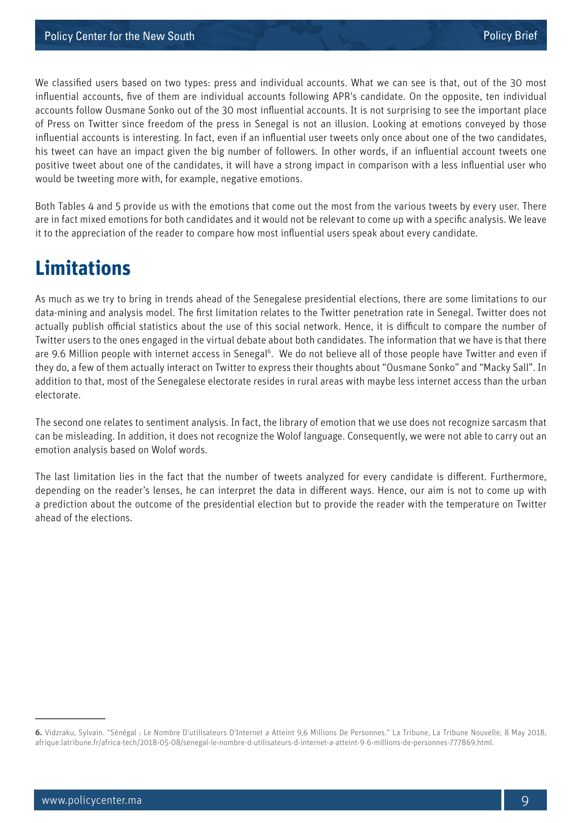We classified users based on two types: press and individual accounts. What we can see is that, out of the 30 most influential accounts, five of them are individual accounts following APR's candidate. On the opposite, ten individual accounts follow Ousmane Sonko out of the 30 most influential accounts. It is not surprising to see the important place of Press on Twitter since freedom of the press in Senegal is not an illusion. Looking at emotions conveyed by those influential accounts is interesting. In fact, even if an influential user tweets only once about one of the two candidates, his tweet can have an impact given the big number of followers. In other words, if an influential account tweets one positive tweet about one of the candidates, it will have a strong impact in comparison with a less influential user who would be tweeting more with, for example, negative emotions.

Both Tables 4 and 5 provide us with the emotions that come out the most from the various tweets by every user. There are in fact mixed emotions for both candidates and it would not be relevant to come up with a specific analysis. We leave it to the appreciation of the reader to compare how most influential users speak about every candidate.

### **Limitations**

As much as we try to bring in trends ahead of the Senegalese presidential elections, there are some limitations to our data-mining and analysis model. The first limitation relates to the Twitter penetration rate in Senegal. Twitter does not actually publish official statistics about the use of this social network. Hence, it is difficult to compare the number of Twitter users to the ones engaged in the virtual debate about both candidates. The information that we have is that there are 9.6 Million people with internet access in Senegal<sup>6</sup>. We do not believe all of those people have Twitter and even if they do, a few of them actually interact on Twitter to express their thoughts about "Ousmane Sonko" and "Macky Sall". In addition to that, most of the Senegalese electorate resides in rural areas with maybe less internet access than the urban electorate.

The second one relates to sentiment analysis. In fact, the library of emotion that we use does not recognize sarcasm that can be misleading. In addition, it does not recognize the Wolof language. Consequently, we were not able to carry out an emotion analysis based on Wolof words.

The last limitation lies in the fact that the number of tweets analyzed for every candidate is different. Furthermore, depending on the reader's lenses, he can interpret the data in different ways. Hence, our aim is not to come up with a prediction about the outcome of the presidential election but to provide the reader with the temperature on Twitter ahead of the elections.

**<sup>6.</sup>** Vidzraku, Sylvain. "Sénégal : Le Nombre D'utilisateurs D'Internet a Atteint 9,6 Millions De Personnes." La Tribune, La Tribune Nouvelle, 8 May 2018, afrique.latribune.fr/africa-tech/2018-05-08/senegal-le-nombre-d-utilisateurs-d-internet-a-atteint-9-6-millions-de-personnes-777869.html.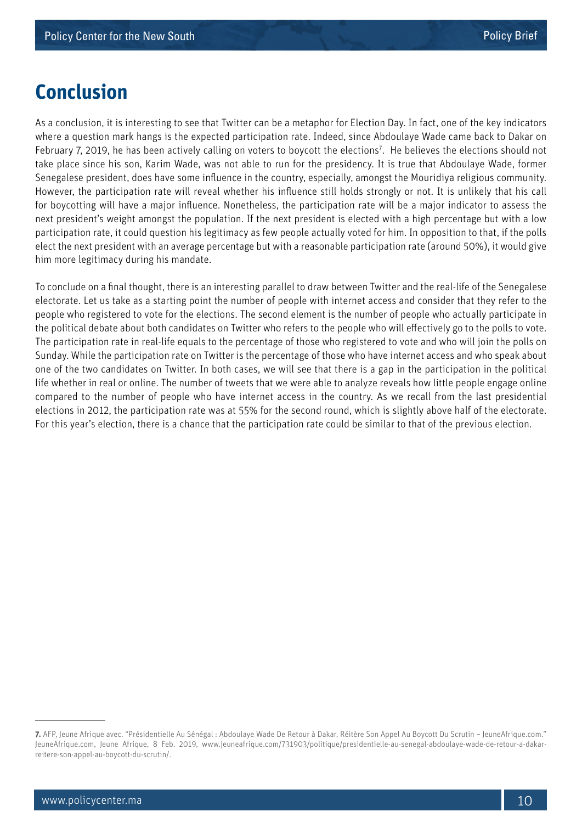### **Conclusion**

As a conclusion, it is interesting to see that Twitter can be a metaphor for Election Day. In fact, one of the key indicators where a question mark hangs is the expected participation rate. Indeed, since Abdoulaye Wade came back to Dakar on February 7, 2019, he has been actively calling on voters to boycott the elections<sup>7</sup>. He believes the elections should not take place since his son, Karim Wade, was not able to run for the presidency. It is true that Abdoulaye Wade, former Senegalese president, does have some influence in the country, especially, amongst the Mouridiya religious community. However, the participation rate will reveal whether his influence still holds strongly or not. It is unlikely that his call for boycotting will have a major influence. Nonetheless, the participation rate will be a major indicator to assess the next president's weight amongst the population. If the next president is elected with a high percentage but with a low participation rate, it could question his legitimacy as few people actually voted for him. In opposition to that, if the polls elect the next president with an average percentage but with a reasonable participation rate (around 50%), it would give him more legitimacy during his mandate.

To conclude on a final thought, there is an interesting parallel to draw between Twitter and the real-life of the Senegalese electorate. Let us take as a starting point the number of people with internet access and consider that they refer to the people who registered to vote for the elections. The second element is the number of people who actually participate in the political debate about both candidates on Twitter who refers to the people who will effectively go to the polls to vote. The participation rate in real-life equals to the percentage of those who registered to vote and who will join the polls on Sunday. While the participation rate on Twitter is the percentage of those who have internet access and who speak about one of the two candidates on Twitter. In both cases, we will see that there is a gap in the participation in the political life whether in real or online. The number of tweets that we were able to analyze reveals how little people engage online compared to the number of people who have internet access in the country. As we recall from the last presidential elections in 2012, the participation rate was at 55% for the second round, which is slightly above half of the electorate. For this year's election, there is a chance that the participation rate could be similar to that of the previous election.

**<sup>7.</sup>** AFP, Jeune Afrique avec. "Présidentielle Au Sénégal : Abdoulaye Wade De Retour à Dakar, Réitère Son Appel Au Boycott Du Scrutin – JeuneAfrique.com." JeuneAfrique.com, Jeune Afrique, 8 Feb. 2019, www.jeuneafrique.com/731903/politique/presidentielle-au-senegal-abdoulaye-wade-de-retour-a-dakarreitere-son-appel-au-boycott-du-scrutin/.